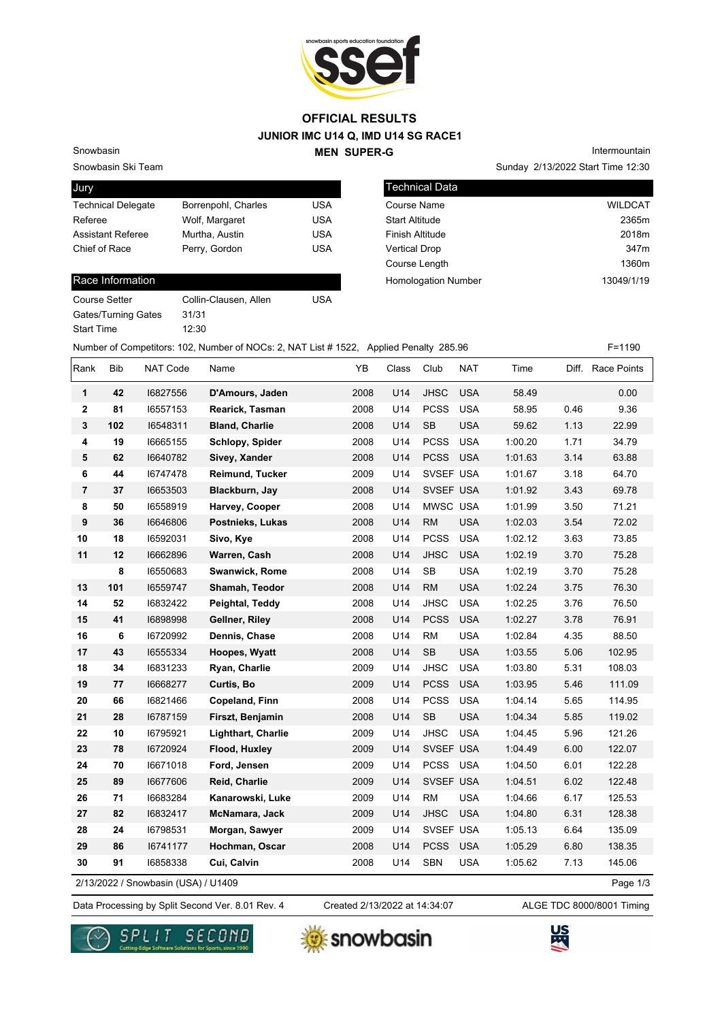

#### **JUNIOR IMC U14 Q, IMD U14 SG RACE1 MEN SUPER-G OFFICIAL RESULTS**

Snowbasin Ski Team Snowbasin

| Jury                      |                     |            |
|---------------------------|---------------------|------------|
| <b>Technical Delegate</b> | Borrenpohl, Charles | USA        |
| Referee                   | Wolf, Margaret      | <b>USA</b> |
| <b>Assistant Referee</b>  | Murtha, Austin      | <b>USA</b> |
| Chief of Race             | Perry, Gordon       | <b>USA</b> |
|                           |                     |            |

#### Race Information

Course Setter Collin-Clausen, Allen USA Gates/Turning Gates 31/31 Start Time 12:30

Sunday 2/13/2022 Start Time 12:30 Intermountain

| <b>Technical Data</b>      |                  |
|----------------------------|------------------|
| Course Name                | <b>WILDCAT</b>   |
| <b>Start Altitude</b>      | 2365m            |
| Finish Altitude            | 2018m            |
| <b>Vertical Drop</b>       | 347 <sub>m</sub> |
| Course Length              | 1360m            |
| <b>Homologation Number</b> | 13049/1/19       |
|                            |                  |

Number of Competitors: 102, Number of NOCs: 2, NAT List # 1522, Applied Penalty 285.96 F=1190

| Rank           | Bib | NAT Code                            | Name                      | YΒ   | Class | Club        | <b>NAT</b> | Time    |      | Diff. Race Points |
|----------------|-----|-------------------------------------|---------------------------|------|-------|-------------|------------|---------|------|-------------------|
| 1              | 42  | 16827556                            | D'Amours, Jaden           | 2008 | U14   | <b>JHSC</b> | <b>USA</b> | 58.49   |      | 0.00              |
| 2              | 81  | 16557153                            | Rearick, Tasman           | 2008 | U14   | <b>PCSS</b> | <b>USA</b> | 58.95   | 0.46 | 9.36              |
| 3              | 102 | 16548311                            | <b>Bland, Charlie</b>     | 2008 | U14   | <b>SB</b>   | <b>USA</b> | 59.62   | 1.13 | 22.99             |
| 4              | 19  | 16665155                            | Schlopy, Spider           | 2008 | U14   | <b>PCSS</b> | <b>USA</b> | 1:00.20 | 1.71 | 34.79             |
| 5              | 62  | 16640782                            | Sivey, Xander             | 2008 | U14   | <b>PCSS</b> | <b>USA</b> | 1:01.63 | 3.14 | 63.88             |
| 6              | 44  | 16747478                            | Reimund, Tucker           | 2009 | U14   | SVSEF USA   |            | 1:01.67 | 3.18 | 64.70             |
| $\overline{7}$ | 37  | 16653503                            | Blackburn, Jay            | 2008 | U14   | SVSEF USA   |            | 1:01.92 | 3.43 | 69.78             |
| 8              | 50  | 16558919                            | Harvey, Cooper            | 2008 | U14   | MWSC USA    |            | 1:01.99 | 3.50 | 71.21             |
| 9              | 36  | 16646806                            | Postnieks, Lukas          | 2008 | U14   | ${\sf RM}$  | <b>USA</b> | 1:02.03 | 3.54 | 72.02             |
| 10             | 18  | 16592031                            | Sivo, Kye                 | 2008 | U14   | <b>PCSS</b> | <b>USA</b> | 1:02.12 | 3.63 | 73.85             |
| 11             | 12  | 16662896                            | Warren, Cash              | 2008 | U14   | <b>JHSC</b> | <b>USA</b> | 1:02.19 | 3.70 | 75.28             |
|                | 8   | 16550683                            | Swanwick, Rome            | 2008 | U14   | SB          | <b>USA</b> | 1:02.19 | 3.70 | 75.28             |
| 13             | 101 | 16559747                            | Shamah, Teodor            | 2008 | U14   | <b>RM</b>   | <b>USA</b> | 1:02.24 | 3.75 | 76.30             |
| 14             | 52  | 16832422                            | Peightal, Teddy           | 2008 | U14   | <b>JHSC</b> | <b>USA</b> | 1:02.25 | 3.76 | 76.50             |
| 15             | 41  | 16898998                            | Gellner, Riley            | 2008 | U14   | <b>PCSS</b> | <b>USA</b> | 1:02.27 | 3.78 | 76.91             |
| 16             | 6   | 16720992                            | Dennis, Chase             | 2008 | U14   | <b>RM</b>   | <b>USA</b> | 1:02.84 | 4.35 | 88.50             |
| 17             | 43  | 16555334                            | Hoopes, Wyatt             | 2008 | U14   | <b>SB</b>   | <b>USA</b> | 1:03.55 | 5.06 | 102.95            |
| 18             | 34  | 16831233                            | Ryan, Charlie             | 2009 | U14   | <b>JHSC</b> | <b>USA</b> | 1:03.80 | 5.31 | 108.03            |
| 19             | 77  | 16668277                            | Curtis, Bo                | 2009 | U14   | <b>PCSS</b> | <b>USA</b> | 1:03.95 | 5.46 | 111.09            |
| 20             | 66  | 16821466                            | Copeland, Finn            | 2008 | U14   | <b>PCSS</b> | <b>USA</b> | 1:04.14 | 5.65 | 114.95            |
| 21             | 28  | 16787159                            | Firszt, Benjamin          | 2008 | U14   | <b>SB</b>   | <b>USA</b> | 1:04.34 | 5.85 | 119.02            |
| 22             | 10  | 16795921                            | <b>Lighthart, Charlie</b> | 2009 | U14   | <b>JHSC</b> | <b>USA</b> | 1:04.45 | 5.96 | 121.26            |
| 23             | 78  | 16720924                            | Flood, Huxley             | 2009 | U14   | SVSEF USA   |            | 1:04.49 | 6.00 | 122.07            |
| 24             | 70  | 16671018                            | Ford, Jensen              | 2009 | U14   | PCSS USA    |            | 1:04.50 | 6.01 | 122.28            |
| 25             | 89  | 16677606                            | Reid, Charlie             | 2009 | U14   | SVSEF USA   |            | 1:04.51 | 6.02 | 122.48            |
| 26             | 71  | 16683284                            | Kanarowski, Luke          | 2009 | U14   | <b>RM</b>   | <b>USA</b> | 1:04.66 | 6.17 | 125.53            |
| 27             | 82  | 16832417                            | McNamara, Jack            | 2009 | U14   | <b>JHSC</b> | <b>USA</b> | 1:04.80 | 6.31 | 128.38            |
| 28             | 24  | 16798531                            | Morgan, Sawyer            | 2009 | U14   | SVSEF USA   |            | 1:05.13 | 6.64 | 135.09            |
| 29             | 86  | 16741177                            | Hochman, Oscar            | 2008 | U14   | <b>PCSS</b> | <b>USA</b> | 1:05.29 | 6.80 | 138.35            |
| 30             | 91  | 16858338                            | Cui, Calvin               | 2008 | U14   | <b>SBN</b>  | <b>USA</b> | 1:05.62 | 7.13 | 145.06            |
|                |     | 2/13/2022 / Snowbasin (USA) / U1409 |                           |      |       |             |            |         |      | Page 1/3          |

2/13/2022 / Snowbasin (USA) / U1409

Data Processing by Split Second Ver. 8.01 Rev. 4 Created 2/13/2022 at 14:34:07 ALGE TDC 8000/8001 Timing Created 2/13/2022 at 14:34:07





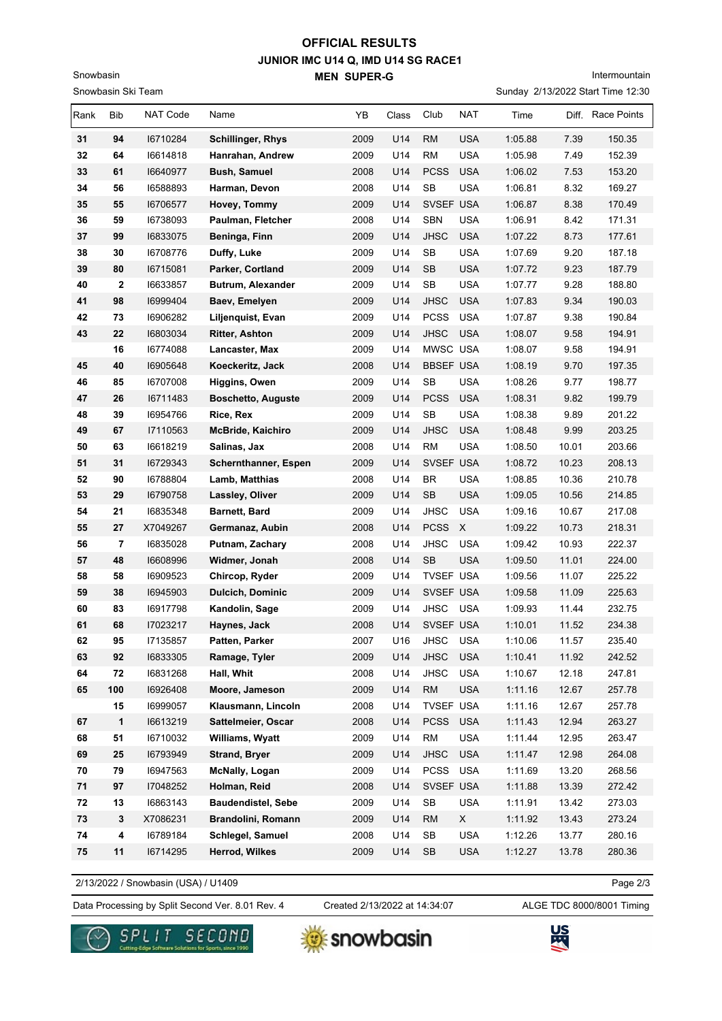## **JUNIOR IMC U14 Q, IMD U14 SG RACE1 MEN SUPER-G OFFICIAL RESULTS**

Snowbasin Ski Team

Snowbasin

# Intermountain

Sunday 2/13/2022 Start Time 12:30

| Rank | Bib            | <b>NAT Code</b> | Name                      | YB   | Class | Club             | NAT        | Time    | Diff. | Race Points |
|------|----------------|-----------------|---------------------------|------|-------|------------------|------------|---------|-------|-------------|
| 31   | 94             | 16710284        | <b>Schillinger, Rhys</b>  | 2009 | U14   | <b>RM</b>        | <b>USA</b> | 1:05.88 | 7.39  | 150.35      |
| 32   | 64             | 16614818        | Hanrahan, Andrew          | 2009 | U14   | <b>RM</b>        | <b>USA</b> | 1:05.98 | 7.49  | 152.39      |
| 33   | 61             | 16640977        | <b>Bush, Samuel</b>       | 2008 | U14   | <b>PCSS</b>      | <b>USA</b> | 1:06.02 | 7.53  | 153.20      |
| 34   | 56             | 16588893        | Harman, Devon             | 2008 | U14   | SB               | <b>USA</b> | 1:06.81 | 8.32  | 169.27      |
| 35   | 55             | 16706577        | Hovey, Tommy              | 2009 | U14   | SVSEF USA        |            | 1:06.87 | 8.38  | 170.49      |
| 36   | 59             | 16738093        | Paulman, Fletcher         | 2008 | U14   | <b>SBN</b>       | <b>USA</b> | 1:06.91 | 8.42  | 171.31      |
| 37   | 99             | 16833075        | Beninga, Finn             | 2009 | U14   | <b>JHSC</b>      | <b>USA</b> | 1:07.22 | 8.73  | 177.61      |
| 38   | 30             | 16708776        | Duffy, Luke               | 2009 | U14   | SB               | <b>USA</b> | 1:07.69 | 9.20  | 187.18      |
| 39   | 80             | 16715081        | Parker, Cortland          | 2009 | U14   | <b>SB</b>        | <b>USA</b> | 1:07.72 | 9.23  | 187.79      |
| 40   | 2              | 16633857        | Butrum, Alexander         | 2009 | U14   | <b>SB</b>        | <b>USA</b> | 1:07.77 | 9.28  | 188.80      |
| 41   | 98             | 16999404        | Baev, Emelyen             | 2009 | U14   | <b>JHSC</b>      | <b>USA</b> | 1:07.83 | 9.34  | 190.03      |
| 42   | 73             | 16906282        | Liljenquist, Evan         | 2009 | U14   | <b>PCSS</b>      | <b>USA</b> | 1:07.87 | 9.38  | 190.84      |
| 43   | 22             | 16803034        | <b>Ritter, Ashton</b>     | 2009 | U14   | <b>JHSC</b>      | <b>USA</b> | 1:08.07 | 9.58  | 194.91      |
|      | 16             | 16774088        | Lancaster, Max            | 2009 | U14   | MWSC USA         |            | 1:08.07 | 9.58  | 194.91      |
| 45   | 40             | 16905648        | Koeckeritz, Jack          | 2008 | U14   | <b>BBSEF USA</b> |            | 1:08.19 | 9.70  | 197.35      |
| 46   | 85             | 16707008        | <b>Higgins, Owen</b>      | 2009 | U14   | SB               | <b>USA</b> | 1:08.26 | 9.77  | 198.77      |
| 47   | 26             | 16711483        | <b>Boschetto, Auguste</b> | 2009 | U14   | <b>PCSS</b>      | <b>USA</b> | 1:08.31 | 9.82  | 199.79      |
| 48   | 39             | 16954766        | Rice, Rex                 | 2009 | U14   | <b>SB</b>        | <b>USA</b> | 1:08.38 | 9.89  | 201.22      |
| 49   | 67             | 17110563        | McBride, Kaichiro         | 2009 | U14   | <b>JHSC</b>      | <b>USA</b> | 1:08.48 | 9.99  | 203.25      |
| 50   | 63             | 16618219        | Salinas, Jax              | 2008 | U14   | <b>RM</b>        | <b>USA</b> | 1:08.50 | 10.01 | 203.66      |
| 51   | 31             | 16729343        | Schernthanner, Espen      | 2009 | U14   | SVSEF USA        |            | 1:08.72 | 10.23 | 208.13      |
| 52   | 90             | 16788804        | Lamb, Matthias            | 2008 | U14   | <b>BR</b>        | <b>USA</b> | 1:08.85 | 10.36 | 210.78      |
| 53   | 29             | 16790758        | Lassley, Oliver           | 2009 | U14   | SB               | <b>USA</b> | 1:09.05 | 10.56 | 214.85      |
| 54   | 21             | 16835348        | Barnett, Bard             | 2009 | U14   | <b>JHSC</b>      | <b>USA</b> | 1:09.16 | 10.67 | 217.08      |
| 55   | 27             | X7049267        | Germanaz, Aubin           | 2008 | U14   | <b>PCSS</b>      | X          | 1:09.22 | 10.73 | 218.31      |
| 56   | $\overline{7}$ | 16835028        | Putnam, Zachary           | 2008 | U14   | <b>JHSC</b>      | <b>USA</b> | 1:09.42 | 10.93 | 222.37      |
| 57   | 48             | 16608996        | Widmer, Jonah             | 2008 | U14   | SB               | <b>USA</b> | 1:09.50 | 11.01 | 224.00      |
| 58   | 58             | 16909523        | Chircop, Ryder            | 2009 | U14   | <b>TVSEF USA</b> |            | 1:09.56 | 11.07 | 225.22      |
| 59   | 38             | 16945903        | <b>Dulcich, Dominic</b>   | 2009 | U14   | SVSEF USA        |            | 1:09.58 | 11.09 | 225.63      |
| 60   | 83             | 16917798        | Kandolin, Sage            | 2009 | U14   | <b>JHSC</b>      | <b>USA</b> | 1:09.93 | 11.44 | 232.75      |
| 61   | 68             | 17023217        | Haynes, Jack              | 2008 | U14   | SVSEF USA        |            | 1:10.01 | 11.52 | 234.38      |
| 62   | 95             | 17135857        | Patten, Parker            | 2007 | U16   | JHSC USA         |            | 1:10.06 | 11.57 | 235.40      |
| 63   | 92             | 16833305        | Ramage, Tyler             | 2009 | U14   | <b>JHSC</b>      | <b>USA</b> | 1:10.41 | 11.92 | 242.52      |
| 64   | ${\bf 72}$     | 16831268        | Hall, Whit                | 2008 | U14   | <b>JHSC</b>      | <b>USA</b> | 1:10.67 | 12.18 | 247.81      |
| 65   | 100            | 16926408        | Moore, Jameson            | 2009 | U14   | RM               | <b>USA</b> | 1:11.16 | 12.67 | 257.78      |
|      | 15             | 16999057        | Klausmann, Lincoln        | 2008 | U14   | TVSEF USA        |            | 1:11.16 | 12.67 | 257.78      |
| 67   | 1              | 16613219        | Sattelmeier, Oscar        | 2008 | U14   | <b>PCSS</b>      | <b>USA</b> | 1:11.43 | 12.94 | 263.27      |
| 68   | 51             | 16710032        | Williams, Wyatt           | 2009 | U14   | ${\sf RM}$       | <b>USA</b> | 1:11.44 | 12.95 | 263.47      |
| 69   | 25             | 16793949        | <b>Strand, Bryer</b>      | 2009 | U14   | <b>JHSC</b>      | <b>USA</b> | 1:11.47 | 12.98 | 264.08      |
| 70   | 79             | 16947563        | McNally, Logan            | 2009 | U14   | <b>PCSS</b>      | <b>USA</b> | 1:11.69 | 13.20 | 268.56      |
| 71   | 97             | 17048252        | Holman, Reid              | 2008 | U14   | SVSEF USA        |            | 1:11.88 | 13.39 | 272.42      |
| 72   | 13             | 16863143        | <b>Baudendistel, Sebe</b> | 2009 | U14   | SB               | USA        | 1:11.91 | 13.42 | 273.03      |
| 73   | 3              | X7086231        | Brandolini, Romann        | 2009 | U14   | <b>RM</b>        | X          | 1:11.92 | 13.43 | 273.24      |
| 74   | 4              | 16789184        | Schlegel, Samuel          | 2008 | U14   | <b>SB</b>        | USA        | 1:12.26 | 13.77 | 280.16      |
| 75   | 11             | 16714295        | Herrod, Wilkes            | 2009 | U14   | <b>SB</b>        | <b>USA</b> | 1:12.27 | 13.78 | 280.36      |

2/13/2022 / Snowbasin (USA) / U1409

Page 2/3

Data Processing by Split Second Ver. 8.01 Rev. 4 Created 2/13/2022 at 14:34:07 ALGE TDC 8000/8001 Timing

Created 2/13/2022 at 14:34:07